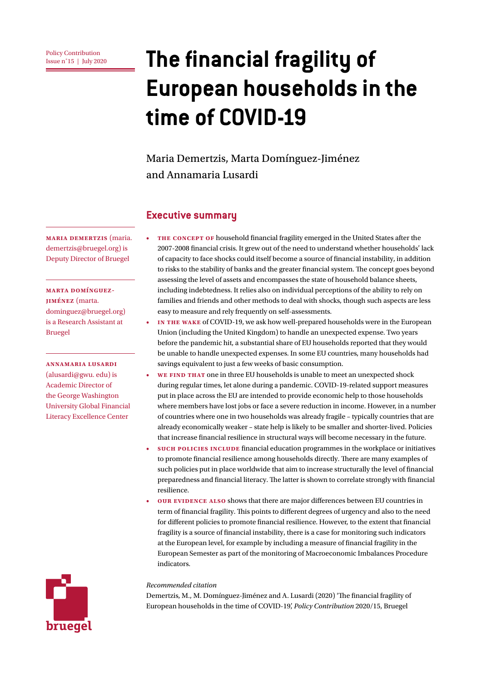# **Issue n°15 | July 2020 The financial fragility of European households in the time of COVID-19**

### Maria Demertzis, Marta Domínguez-Jiménez and Annamaria Lusardi

#### **Executive summary**

**THE CONCEPT OF** household financial fragility emerged in the United States after the 2007-2008 financial crisis. It grew out of the need to understand whether households' lack of capacity to face shocks could itself become a source of financial instability, in addition to risks to the stability of banks and the greater financial system. The concept goes beyond assessing the level of assets and encompasses the state of household balance sheets, including indebtedness. It relies also on individual perceptions of the ability to rely on families and friends and other methods to deal with shocks, though such aspects are less easy to measure and rely frequently on self-assessments.

- **In the wake** of COVID-19, we ask how well-prepared households were in the European Union (including the United Kingdom) to handle an unexpected expense. Two years before the pandemic hit, a substantial share of EU households reported that they would be unable to handle unexpected expenses. In some EU countries, many households had savings equivalent to just a few weeks of basic consumption.
- WE FIND THAT one in three EU households is unable to meet an unexpected shock during regular times, let alone during a pandemic. COVID-19-related support measures put in place across the EU are intended to provide economic help to those households where members have lost jobs or face a severe reduction in income. However, in a number of countries where one in two households was already fragile – typically countries that are already economically weaker – state help is likely to be smaller and shorter-lived. Policies that increase financial resilience in structural ways will become necessary in the future.
- **Such policies include** financial education programmes in the workplace or initiatives to promote financial resilience among households directly. There are many examples of such policies put in place worldwide that aim to increase structurally the level of financial preparedness and financial literacy. The latter is shown to correlate strongly with financial resilience.
- **Our evidence also** shows that there are major differences between EU countries in term of financial fragility. This points to different degrees of urgency and also to the need for different policies to promote financial resilience. However, to the extent that financial fragility is a source of financial instability, there is a case for monitoring such indicators at the European level, for example by including a measure of financial fragility in the European Semester as part of the monitoring of Macroeconomic Imbalances Procedure indicators.

#### *Recommended citation*

Demertzis, M., M. Domínguez-Jiménez and A. Lusardi (2020) 'The financial fragility of European households in the time of COVID-19', *Policy Contribution* 2020/15, Bruegel

**Maria Demertzis** (maria. demertzis[@bruegel.org\)](mailto:marek.dabrowski%40bruegel.org?subject=) is Deputy Director of Bruegel

**marta domínguez-Jiménez** [\(marta.](mailto:marta.dominguez%40bruegel.org?subject=) [dominguez@bruegel.org\)](mailto:marta.dominguez%40bruegel.org?subject=) is a Research Assistant at Bruegel

#### **Annamaria Lusardi**

(alusardi@gwu. edu) is Academic Director of the George Washington University Global Financial Literacy Excellence Center

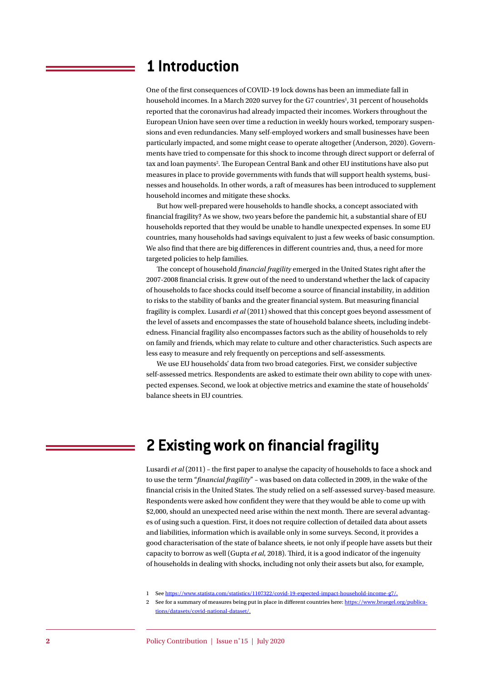### **1 Introduction**

One of the first consequences of COVID-19 lock downs has been an immediate fall in household incomes. In a March 2020 survey for the G7 countries<sup>1</sup>, 31 percent of households reported that the coronavirus had already impacted their incomes. Workers throughout the European Union have seen over time a reduction in weekly hours worked, temporary suspensions and even redundancies. Many self-employed workers and small businesses have been particularly impacted, and some might cease to operate altogether (Anderson, 2020). Governments have tried to compensate for this shock to income through direct support or deferral of tax and loan payments<sup>2</sup>. The European Central Bank and other EU institutions have also put measures in place to provide governments with funds that will support health systems, businesses and households. In other words, a raft of measures has been introduced to supplement household incomes and mitigate these shocks.

But how well-prepared were households to handle shocks, a concept associated with financial fragility? As we show, two years before the pandemic hit, a substantial share of EU households reported that they would be unable to handle unexpected expenses. In some EU countries, many households had savings equivalent to just a few weeks of basic consumption. We also find that there are big differences in different countries and, thus, a need for more targeted policies to help families.

The concept of household *financial fragility* emerged in the United States right after the 2007-2008 financial crisis. It grew out of the need to understand whether the lack of capacity of households to face shocks could itself become a source of financial instability, in addition to risks to the stability of banks and the greater financial system. But measuring financial fragility is complex. Lusardi *et al* (2011) showed that this concept goes beyond assessment of the level of assets and encompasses the state of household balance sheets, including indebtedness. Financial fragility also encompasses factors such as the ability of households to rely on family and friends, which may relate to culture and other characteristics. Such aspects are less easy to measure and rely frequently on perceptions and self-assessments.

We use EU households' data from two broad categories. First, we consider subjective self-assessed metrics. Respondents are asked to estimate their own ability to cope with unexpected expenses. Second, we look at objective metrics and examine the state of households' balance sheets in EU countries.

# **2 Existing work on financial fragility**

Lusardi *et al* (2011) – the first paper to analyse the capacity of households to face a shock and to use the term "*financial fragility*" – was based on data collected in 2009, in the wake of the financial crisis in the United States. The study relied on a self-assessed survey-based measure. Respondents were asked how confident they were that they would be able to come up with \$2,000, should an unexpected need arise within the next month. There are several advantages of using such a question. First, it does not require collection of detailed data about assets and liabilities, information which is available only in some surveys. Second, it provides a good characterisation of the state of balance sheets, ie not only if people have assets but their capacity to borrow as well (Gupta *et al*, 2018). Third, it is a good indicator of the ingenuity of households in dealing with shocks, including not only their assets but also, for example,

1 See [https://www.statista.com/statistics/1107322/covid-19-expected-impact-household-income-g7/.](https://www.statista.com/statistics/1107322/covid-19-expected-impact-household-income-g7/)

2 See for a summary of measures being put in place in different countries here: [https://www.bruegel.org/publica](https://www.bruegel.org/publications/datasets/covid-national-dataset/)[tions/datasets/covid-national-dataset/.](https://www.bruegel.org/publications/datasets/covid-national-dataset/)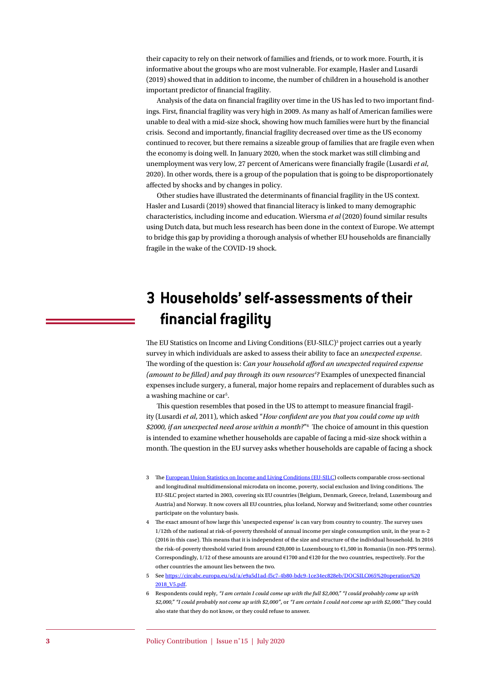their capacity to rely on their network of families and friends, or to work more. Fourth, it is informative about the groups who are most vulnerable. For example, Hasler and Lusardi (2019) showed that in addition to income, the number of children in a household is another important predictor of financial fragility.

Analysis of the data on financial fragility over time in the US has led to two important findings. First, financial fragility was very high in 2009. As many as half of American families were unable to deal with a mid-size shock, showing how much families were hurt by the financial crisis. Second and importantly, financial fragility decreased over time as the US economy continued to recover, but there remains a sizeable group of families that are fragile even when the economy is doing well. In January 2020, when the stock market was still climbing and unemployment was very low, 27 percent of Americans were financially fragile (Lusardi *et al*, 2020). In other words, there is a group of the population that is going to be disproportionately affected by shocks and by changes in policy.

Other studies have illustrated the determinants of financial fragility in the US context. Hasler and Lusardi (2019) showed that financial literacy is linked to many demographic characteristics, including income and education. Wiersma *et al* (2020) found similar results using Dutch data, but much less research has been done in the context of Europe. We attempt to bridge this gap by providing a thorough analysis of whether EU households are financially fragile in the wake of the COVID-19 shock.

# **3 Households' self-assessments of their financial fragility**

The EU Statistics on Income and Living Conditions (EU-SILC)<sup>3</sup> project carries out a yearly survey in which individuals are asked to assess their ability to face an *unexpected expense*. The wording of the question is: *Can your household afford an unexpected required expense*  (amount to be filled) and pay through its own resources<sup>4</sup>? Examples of unexpected financial expenses include surgery, a funeral, major home repairs and replacement of durables such as a washing machine or car<sup>5</sup>.

This question resembles that posed in the US to attempt to measure financial fragility (Lusardi *et al*, 2011), which asked "*How confident are you that you could come up with \$2000, if an unexpected need arose within a month?*"6 The choice of amount in this question is intended to examine whether households are capable of facing a mid-size shock within a month. The question in the EU survey asks whether households are capable of facing a shock

- 3 The [European Union Statistics on Income and Living Conditions \(EU-SILC](https://ec.europa.eu/eurostat/web/microdata/european-union-statistics-on-income-and-living-conditions)) collects comparable cross-sectional and longitudinal multidimensional microdata on income, poverty, social exclusion and living conditions. The EU-SILC project started in 2003, covering six EU countries (Belgium, Denmark, Greece, Ireland, Luxembourg and Austria) and Norway. It now covers all EU countries, plus Iceland, Norway and Switzerland; some other countries participate on the voluntary basis.
- 4 The exact amount of how large this 'unexpected expense' is can vary from country to country. The survey uses 1/12th of the national at risk-of-poverty threshold of annual income per single consumption unit, in the year n-2 (2016 in this case). This means that it is independent of the size and structure of the individual household. In 2016 the risk-of-poverty threshold varied from around €20,000 in Luxembourg to €1,500 in Romania (in non-PPS terms). Correspondingly,  $1/12$  of these amounts are around  $\epsilon$ 1700 and  $\epsilon$ 120 for the two countries, respectively. For the other countries the amount lies between the two.
- 5 See [https://circabc.europa.eu/sd/a/e9a5d1ad-f5c7-4b80-bdc9-1ce34ec828eb/DOCSILC065%20operation%20](https://circabc.europa.eu/sd/a/e9a5d1ad-f5c7-4b80-bdc9-1ce34ec828eb/DOCSILC065%20operation%202018_V5.pdf) [2018\\_V5.pdf](https://circabc.europa.eu/sd/a/e9a5d1ad-f5c7-4b80-bdc9-1ce34ec828eb/DOCSILC065%20operation%202018_V5.pdf).
- 6 Respondents could reply, *"I am certain I could come up with the full \$2,000," "I could probably come up with \$2,000," "I could probably not come up with \$2,000"*, or *"I am certain I could not come up with \$2,000."* They could also state that they do not know, or they could refuse to answer.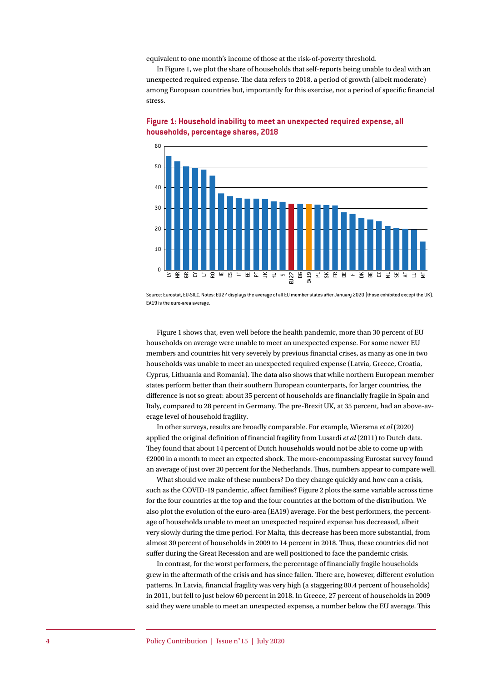equivalent to one month's income of those at the risk-of-poverty threshold.

In Figure 1, we plot the share of households that self-reports being unable to deal with an unexpected required expense. The data refers to 2018, a period of growth (albeit moderate) among European countries but, importantly for this exercise, not a period of specific financial stress.



**Figure 1: Household inability to meet an unexpected required expense, all households, percentage shares, 2018**

Source: Eurostat, EU-SILC. Notes: EU27 displays the average of all EU member states after January 2020 (those exhibited except the UK). EA19 is the euro-area average.

Figure 1 shows that, even well before the health pandemic, more than 30 percent of EU households on average were unable to meet an unexpected expense. For some newer EU members and countries hit very severely by previous financial crises, as many as one in two households was unable to meet an unexpected required expense (Latvia, Greece, Croatia, Cyprus, Lithuania and Romania). The data also shows that while northern European member states perform better than their southern European counterparts, for larger countries, the difference is not so great: about 35 percent of households are financially fragile in Spain and Italy, compared to 28 percent in Germany. The pre-Brexit UK, at 35 percent, had an above-average level of household fragility.

In other surveys, results are broadly comparable. For example, Wiersma *et al* (2020) applied the original definition of financial fragility from Lusardi *et al* (2011) to Dutch data. They found that about 14 percent of Dutch households would not be able to come up with €2000 in a month to meet an expected shock. The more-encompassing Eurostat survey found an average of just over 20 percent for the Netherlands. Thus, numbers appear to compare well.

What should we make of these numbers? Do they change quickly and how can a crisis, such as the COVID-19 pandemic, affect families? Figure 2 plots the same variable across time for the four countries at the top and the four countries at the bottom of the distribution. We also plot the evolution of the euro-area (EA19) average. For the best performers, the percentage of households unable to meet an unexpected required expense has decreased, albeit very slowly during the time period. For Malta, this decrease has been more substantial, from almost 30 percent of households in 2009 to 14 percent in 2018. Thus, these countries did not suffer during the Great Recession and are well positioned to face the pandemic crisis.

In contrast, for the worst performers, the percentage of financially fragile households grew in the aftermath of the crisis and has since fallen. There are, however, different evolution patterns. In Latvia, financial fragility was very high (a staggering 80.4 percent of households) in 2011, but fell to just below 60 percent in 2018. In Greece, 27 percent of households in 2009 said they were unable to meet an unexpected expense, a number below the EU average. This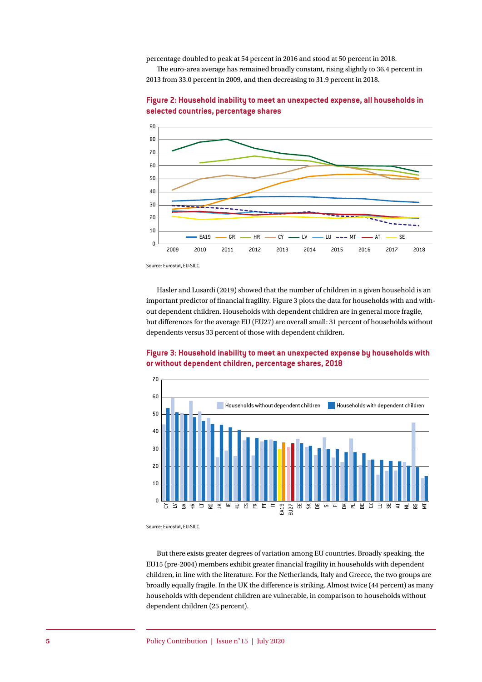percentage doubled to peak at 54 percent in 2016 and stood at 50 percent in 2018.

The euro-area average has remained broadly constant, rising slightly to 36.4 percent in 2013 from 33.0 percent in 2009, and then decreasing to 31.9 percent in 2018.





Source: Eurostat, EU-SILC.

Hasler and Lusardi (2019) showed that the number of children in a given household is an important predictor of financial fragility. Figure 3 plots the data for households with and without dependent children. Households with dependent children are in general more fragile, but differences for the average EU (EU27) are overall small: 31 percent of households without dependents versus 33 percent of those with dependent children.



**Figure 3: Household inability to meet an unexpected expense by households with or without dependent children, percentage shares, 2018**

Source: Eurostat, EU-SII C.

But there exists greater degrees of variation among EU countries. Broadly speaking, the EU15 (pre-2004) members exhibit greater financial fragility in households with dependent children, in line with the literature. For the Netherlands, Italy and Greece, the two groups are broadly equally fragile. In the UK the difference is striking. Almost twice (44 percent) as many households with dependent children are vulnerable, in comparison to households without dependent children (25 percent).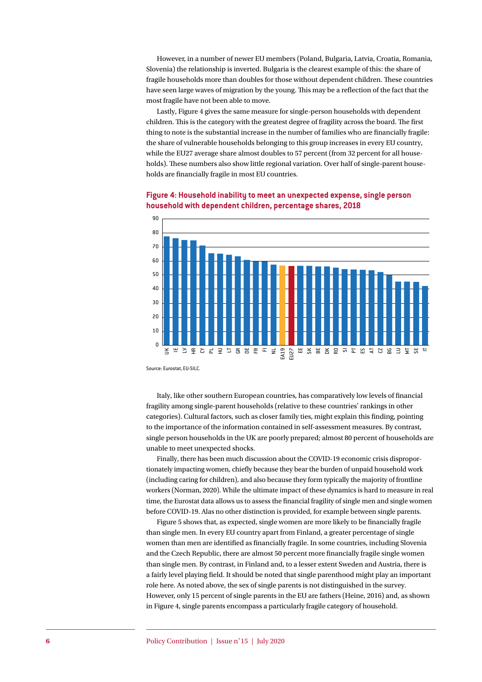However, in a number of newer EU members (Poland, Bulgaria, Latvia, Croatia, Romania, Slovenia) the relationship is inverted. Bulgaria is the clearest example of this: the share of fragile households more than doubles for those without dependent children. These countries have seen large waves of migration by the young. This may be a reflection of the fact that the most fragile have not been able to move.

Lastly, Figure 4 gives the same measure for single-person households with dependent children. This is the category with the greatest degree of fragility across the board. The first thing to note is the substantial increase in the number of families who are financially fragile: the share of vulnerable households belonging to this group increases in every EU country, while the EU27 average share almost doubles to 57 percent (from 32 percent for all households). These numbers also show little regional variation. Over half of single-parent households are financially fragile in most EU countries.



#### **Figure 4: Household inability to meet an unexpected expense, single person household with dependent children, percentage shares, 2018**

Source: Eurostat, EU-SILC.

Italy, like other southern European countries, has comparatively low levels of financial fragility among single-parent households (relative to these countries' rankings in other categories). Cultural factors, such as closer family ties, might explain this finding, pointing to the importance of the information contained in self-assessment measures. By contrast, single person households in the UK are poorly prepared; almost 80 percent of households are unable to meet unexpected shocks.

Finally, there has been much discussion about the COVID-19 economic crisis disproportionately impacting women, chiefly because they bear the burden of unpaid household work (including caring for children), and also because they form typically the majority of frontline workers (Norman, 2020). While the ultimate impact of these dynamics is hard to measure in real time, the Eurostat data allows us to assess the financial fragility of single men and single women before COVID-19. Alas no other distinction is provided, for example between single parents.

Figure 5 shows that, as expected, single women are more likely to be financially fragile than single men. In every EU country apart from Finland, a greater percentage of single women than men are identified as financially fragile. In some countries, including Slovenia and the Czech Republic, there are almost 50 percent more financially fragile single women than single men. By contrast, in Finland and, to a lesser extent Sweden and Austria, there is a fairly level playing field. It should be noted that single parenthood might play an important role here. As noted above, the sex of single parents is not distinguished in the survey. However, only 15 percent of single parents in the EU are fathers (Heine, 2016) and, as shown in Figure 4, single parents encompass a particularly fragile category of household.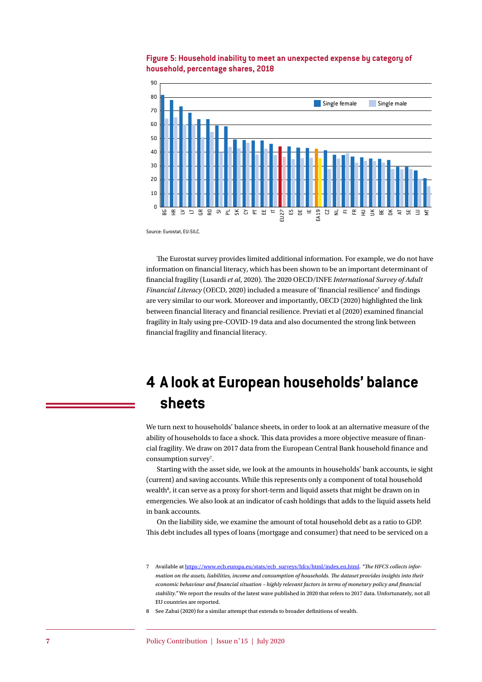

#### **Figure 5: Household inability to meet an unexpected expense by category of household, percentage shares, 2018**

Source: Eurostat, EU-SILC.

The Eurostat survey provides limited additional information. For example, we do not have information on financial literacy, which has been shown to be an important determinant of financial fragility (Lusardi *et al*, 2020). The 2020 OECD/INFE *International Survey of Adult Financial Literacy* (OECD, 2020) included a measure of 'financial resilience' and findings are very similar to our work. Moreover and importantly, OECD (2020) highlighted the link between financial literacy and financial resilience. Previati et al (2020) examined financial fragility in Italy using pre-COVID-19 data and also documented the strong link between financial fragility and financial literacy.

# **4 A look at European households' balance sheets**

We turn next to households' balance sheets, in order to look at an alternative measure of the ability of households to face a shock. This data provides a more objective measure of financial fragility. We draw on 2017 data from the European Central Bank household finance and consumption survey<sup>7</sup>.

Starting with the asset side, we look at the amounts in households' bank accounts, ie sight (current) and saving accounts. While this represents only a component of total household wealth<sup>8</sup>, it can serve as a proxy for short-term and liquid assets that might be drawn on in emergencies. We also look at an indicator of cash holdings that adds to the liquid assets held in bank accounts.

On the liability side, we examine the amount of total household debt as a ratio to GDP. This debt includes all types of loans (mortgage and consumer) that need to be serviced on a

8 See Zabai (2020) for a similar attempt that extends to broader definitions of wealth.

<sup>7</sup> Available at [https://www.ecb.europa.eu/stats/ecb\\_surveys/hfcs/html/index.en.html](https://www.ecb.europa.eu/stats/ecb_surveys/hfcs/html/index.en.html). *"The HFCS collects information on the assets, liabilities, income and consumption of households. The dataset provides insights into their economic behaviour and financial situation – highly relevant factors in terms of monetary policy and financial stability."* We report the results of the latest wave published in 2020 that refers to 2017 data. Unfortunately, not all EU countries are reported.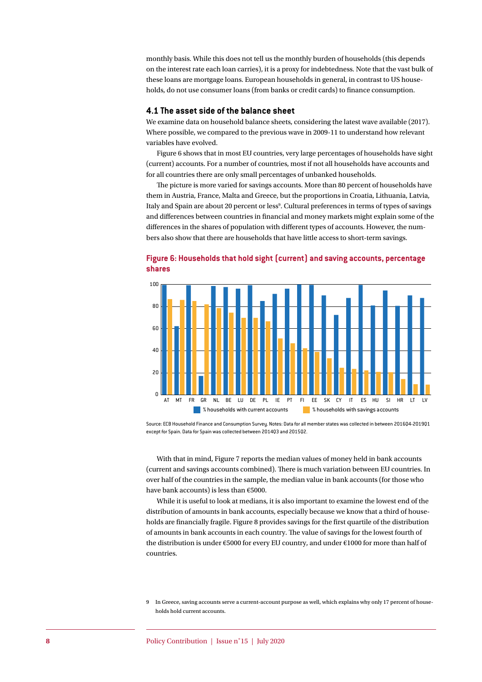monthly basis. While this does not tell us the monthly burden of households (this depends on the interest rate each loan carries), it is a proxy for indebtedness. Note that the vast bulk of these loans are mortgage loans. European households in general, in contrast to US households, do not use consumer loans (from banks or credit cards) to finance consumption.

#### **4.1 The asset side of the balance sheet**

We examine data on household balance sheets, considering the latest wave available (2017). Where possible, we compared to the previous wave in 2009-11 to understand how relevant variables have evolved.

Figure 6 shows that in most EU countries, very large percentages of households have sight (current) accounts. For a number of countries, most if not all households have accounts and for all countries there are only small percentages of unbanked households.

The picture is more varied for savings accounts. More than 80 percent of households have them in Austria, France, Malta and Greece, but the proportions in Croatia, Lithuania, Latvia, Italy and Spain are about 20 percent or less<sup>9</sup>. Cultural preferences in terms of types of savings and differences between countries in financial and money markets might explain some of the differences in the shares of population with different types of accounts. However, the numbers also show that there are households that have little access to short-term savings.

#### **Figure 6: Households that hold sight (current) and saving accounts, percentage shares**



Source: ECB Household Finance and Consumption Survey. Notes: Data for all member states was collected in between 201604-201901 except for Spain. Data for Spain was collected between 2014Q3 and 2015Q2.

With that in mind, Figure 7 reports the median values of money held in bank accounts (current and savings accounts combined). There is much variation between EU countries. In over half of the countries in the sample, the median value in bank accounts (for those who have bank accounts) is less than €5000.

While it is useful to look at medians, it is also important to examine the lowest end of the distribution of amounts in bank accounts, especially because we know that a third of households are financially fragile. Figure 8 provides savings for the first quartile of the distribution of amounts in bank accounts in each country. The value of savings for the lowest fourth of the distribution is under €5000 for every EU country, and under €1000 for more than half of countries.

<sup>9</sup> In Greece, saving accounts serve a current-account purpose as well, which explains why only 17 percent of households hold current accounts.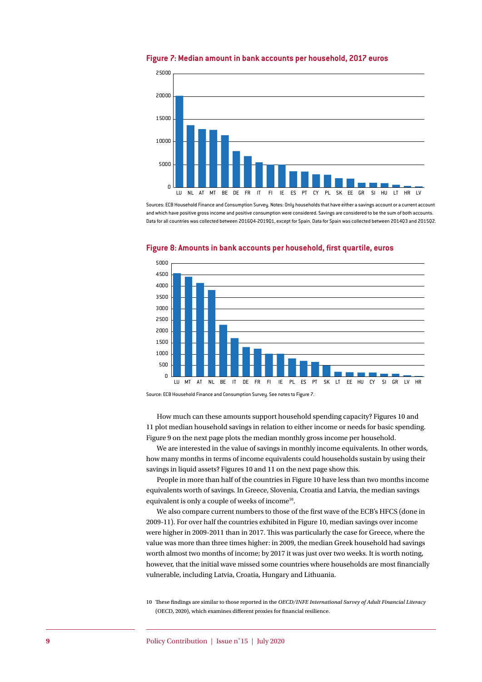

#### **Figure 7: Median amount in bank accounts per household, 2017 euros**

Sources: ECB Household Finance and Consumption Survey. Notes: Only households that have either a savings account or a current account and which have positive gross income and positive consumption were considered. Savings are considered to be the sum of both accounts Data for all countries was collected between 2016Q4-2019Q1, except for Spain. Data for Spain was collected between 2014Q3 and 2015Q2.



#### **Figure 8: Amounts in bank accounts per household, first quartile, euros**

Source: ECB Household Finance and Consumption Survey. See notes to Figure 7.

How much can these amounts support household spending capacity? Figures 10 and 11 plot median household savings in relation to either income or needs for basic spending. Figure 9 on the next page plots the median monthly gross income per household.

We are interested in the value of savings in monthly income equivalents. In other words, how many months in terms of income equivalents could households sustain by using their savings in liquid assets? Figures 10 and 11 on the next page show this.

People in more than half of the countries in Figure 10 have less than two months income equivalents worth of savings. In Greece, Slovenia, Croatia and Latvia, the median savings equivalent is only a couple of weeks of income<sup>10</sup>.

We also compare current numbers to those of the first wave of the ECB's HFCS (done in 2009-11). For over half the countries exhibited in Figure 10, median savings over income were higher in 2009-2011 than in 2017. This was particularly the case for Greece, where the value was more than three times higher: in 2009, the median Greek household had savings worth almost two months of income; by 2017 it was just over two weeks. It is worth noting, however, that the initial wave missed some countries where households are most financially vulnerable, including Latvia, Croatia, Hungary and Lithuania.

10 These findings are similar to those reported in the *OECD/INFE International Survey of Adult Financial Literacy* (OECD, 2020), which examines different proxies for financial resilience.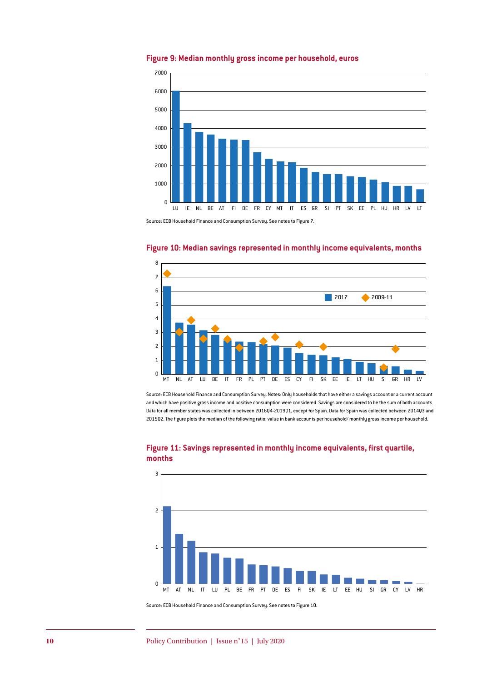

#### **Figure 9: Median monthly gross income per household, euros**

Source: ECB Household Finance and Consumption Survey. See notes to Figure 7.



#### **Figure 10: Median savings represented in monthly income equivalents, months**

Source: ECB Household Finance and Consumption Survey. Notes: Only households that have either a savings account or a current account and which have positive gross income and positive consumption were considered. Savings are considered to be the sum of both accounts. Data for all member states was collected in between 2016Q4-2019Q1, except for Spain. Data for Spain was collected between 2014Q3 and 2015Q2. The figure plots the median of the following ratio: value in bank accounts per household/ monthly gross income per household.



#### **Figure 11: Savings represented in monthly income equivalents, first quartile, months**

Source: ECB Household Finance and Consumption Survey. See notes to Figure 10.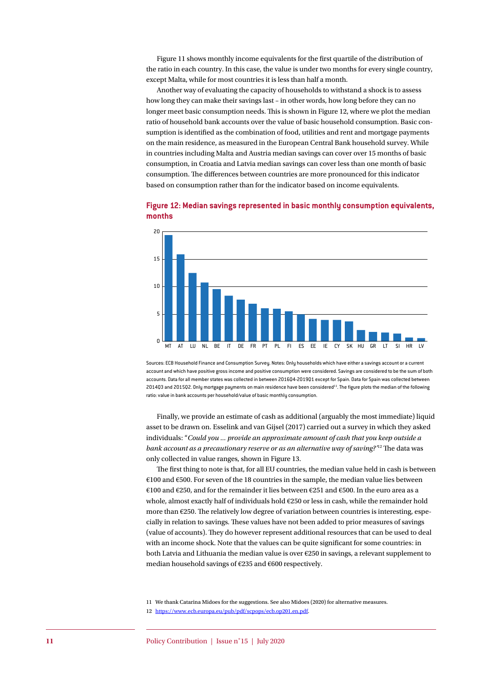Figure 11 shows monthly income equivalents for the first quartile of the distribution of the ratio in each country. In this case, the value is under two months for every single country, except Malta, while for most countries it is less than half a month.

Another way of evaluating the capacity of households to withstand a shock is to assess how long they can make their savings last – in other words, how long before they can no longer meet basic consumption needs. This is shown in Figure 12, where we plot the median ratio of household bank accounts over the value of basic household consumption. Basic consumption is identified as the combination of food, utilities and rent and mortgage payments on the main residence, as measured in the European Central Bank household survey. While in countries including Malta and Austria median savings can cover over 15 months of basic consumption, in Croatia and Latvia median savings can cover less than one month of basic consumption. The differences between countries are more pronounced for this indicator based on consumption rather than for the indicator based on income equivalents.



**Figure 12: Median savings represented in basic monthly consumption equivalents, months**

Sources: ECB Household Finance and Consumption Survey. Notes: Only households which have either a savings account or a current account and which have positive gross income and positive consumption were considered. Savings are considered to be the sum of both accounts. Data for all member states was collected in between 2016Q4-2019Q1 except for Spain. Data for Spain was collected between 2014Q3 and 2015Q2. Only mortgage payments on main residence have been considered<sup>11</sup>. The figure plots the median of the following ratio: value in bank accounts per household/value of basic monthly consumption.

Finally, we provide an estimate of cash as additional (arguably the most immediate) liquid asset to be drawn on. Esselink and van Gijsel (2017) carried out a survey in which they asked individuals: "*Could you ... provide an approximate amount of cash that you keep outside a bank account as a precautionary reserve or as an alternative way of saving?'*12 The data was only collected in value ranges, shown in Figure 13.

The first thing to note is that, for all EU countries, the median value held in cash is between €100 and €500. For seven of the 18 countries in the sample, the median value lies between €100 and €250, and for the remainder it lies between €251 and €500. In the euro area as a whole, almost exactly half of individuals hold €250 or less in cash, while the remainder hold more than  $\epsilon$ 250. The relatively low degree of variation between countries is interesting, especially in relation to savings. These values have not been added to prior measures of savings (value of accounts). They do however represent additional resources that can be used to deal with an income shock. Note that the values can be quite significant for some countries: in both Latvia and Lithuania the median value is over €250 in savings, a relevant supplement to median household savings of €235 and €600 respectively.

11 We thank Catarina Midoes for the suggestions. See also Midoes (2020) for alternative measures. 12 <https://www.ecb.europa.eu/pub/pdf/scpops/ecb.op201.en.pdf>.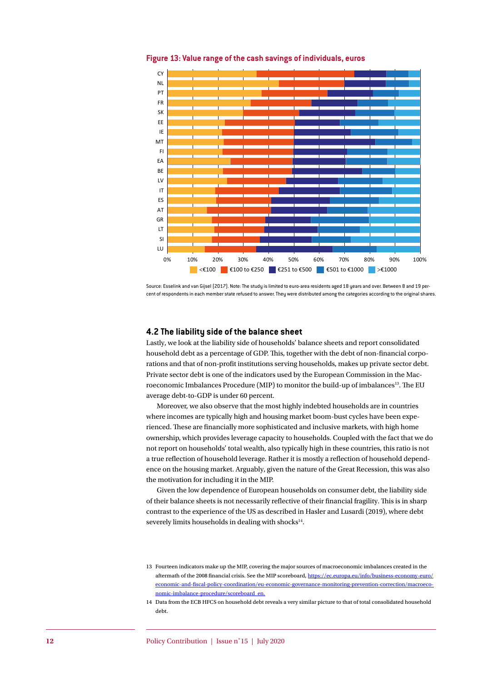

**Figure 13: Value range of the cash savings of individuals, euros**

Source: Esselink and van Gijsel (2017). Note: The study is limited to euro-area residents aged 18 years and over. Between 8 and 19 percent of respondents in each member state refused to answer. They were distributed among the categories according to the original shares.

#### **4.2 The liability side of the balance sheet**

Lastly, we look at the liability side of households' balance sheets and report consolidated household debt as a percentage of GDP. This, together with the debt of non-financial corporations and that of non-profit institutions serving households, makes up private sector debt. Private sector debt is one of the indicators used by the European Commission in the Macroeconomic Imbalances Procedure (MIP) to monitor the build-up of imbalances<sup>13</sup>. The EU average debt-to-GDP is under 60 percent.

Moreover, we also observe that the most highly indebted households are in countries where incomes are typically high and housing market boom-bust cycles have been experienced. These are financially more sophisticated and inclusive markets, with high home ownership, which provides leverage capacity to households. Coupled with the fact that we do not report on households' total wealth, also typically high in these countries, this ratio is not a true reflection of household leverage. Rather it is mostly a reflection of household dependence on the housing market. Arguably, given the nature of the Great Recession, this was also the motivation for including it in the MIP.

Given the low dependence of European households on consumer debt, the liability side of their balance sheets is not necessarily reflective of their financial fragility. This is in sharp contrast to the experience of the US as described in Hasler and Lusardi (2019), where debt severely limits households in dealing with shocks<sup>14</sup>.

<sup>13</sup> Fourteen indicators make up the MIP, covering the major sources of macroeconomic imbalances created in the aftermath of the 2008 financial crisis. See the MIP scoreboard, [https://ec.europa.eu/info/business-economy-euro/](https://ec.europa.eu/info/business-economy-euro/economic-and-fiscal-policy-coordination/eu-economic-governance-monitoring-prevention-correction/macroeconomic-imbalance-procedure/scoreboard_en) [economic-and-fiscal-policy-coordination/eu-economic-governance-monitoring-prevention-correction/macroeco](https://ec.europa.eu/info/business-economy-euro/economic-and-fiscal-policy-coordination/eu-economic-governance-monitoring-prevention-correction/macroeconomic-imbalance-procedure/scoreboard_en)[nomic-imbalance-procedure/scoreboard\\_en.](https://ec.europa.eu/info/business-economy-euro/economic-and-fiscal-policy-coordination/eu-economic-governance-monitoring-prevention-correction/macroeconomic-imbalance-procedure/scoreboard_en)

<sup>14</sup> Data from the ECB HFCS on household debt reveals a very similar picture to that of total consolidated household debt.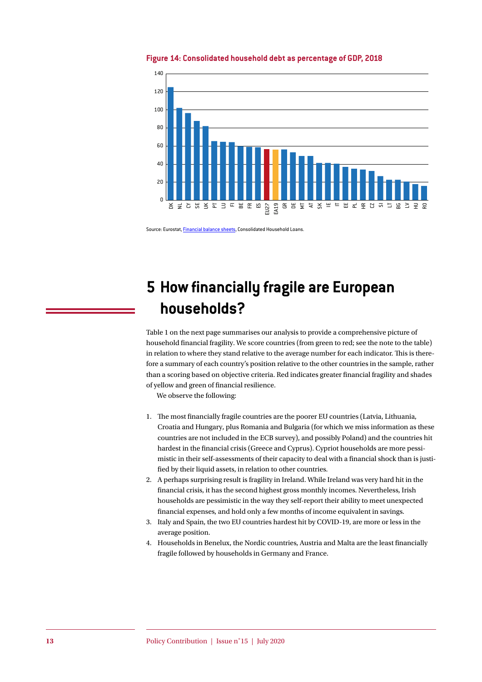

**Figure 14: Consolidated household debt as percentage of GDP, 2018**

Source: Eurostat, [Financial balance sheets,](https://appsso.eurostat.ec.europa.eu/nui/show.do?dataset=nasa_10_f_bs&lang=en) Consolidated Household Loans.

# **5 How financially fragile are European households?**

Table 1 on the next page summarises our analysis to provide a comprehensive picture of household financial fragility. We score countries (from green to red; see the note to the table) in relation to where they stand relative to the average number for each indicator. This is therefore a summary of each country's position relative to the other countries in the sample, rather than a scoring based on objective criteria. Red indicates greater financial fragility and shades of yellow and green of financial resilience.

We observe the following:

- 1. The most financially fragile countries are the poorer EU countries (Latvia, Lithuania, Croatia and Hungary, plus Romania and Bulgaria (for which we miss information as these countries are not included in the ECB survey), and possibly Poland) and the countries hit hardest in the financial crisis (Greece and Cyprus). Cypriot households are more pessimistic in their self-assessments of their capacity to deal with a financial shock than is justified by their liquid assets, in relation to other countries.
- 2. A perhaps surprising result is fragility in Ireland. While Ireland was very hard hit in the financial crisis, it has the second highest gross monthly incomes. Nevertheless, Irish households are pessimistic in the way they self-report their ability to meet unexpected financial expenses, and hold only a few months of income equivalent in savings.
- 3. Italy and Spain, the two EU countries hardest hit by COVID-19, are more or less in the average position.
- 4. Households in Benelux, the Nordic countries, Austria and Malta are the least financially fragile followed by households in Germany and France.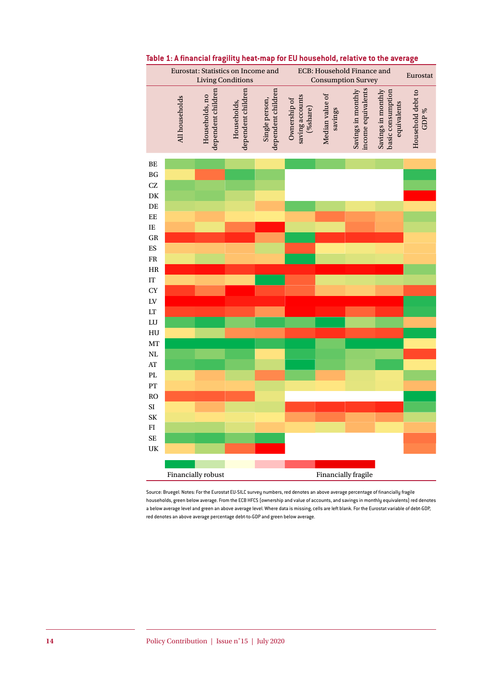

#### **Table 1: A financial fragility heat-map for EU household, relative to the average**

Source: Bruegel. Notes: For the Eurostat EU-SILC survey numbers, red denotes an above average percentage of financially fragile households, green below average. From the ECB HFCS (ownership and value of accounts, and savings in monthly equivalents) red denotes a below average level and green an above average level. Where data is missing, cells are left blank. For the Eurostat variable of debt-GDP, red denotes an above average percentage debt-to-GDP and green below average.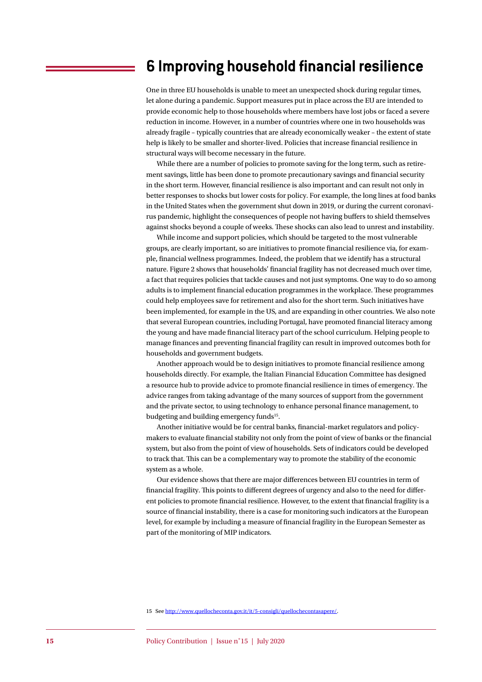### **6 Improving household financial resilience**

One in three EU households is unable to meet an unexpected shock during regular times, let alone during a pandemic. Support measures put in place across the EU are intended to provide economic help to those households where members have lost jobs or faced a severe reduction in income. However, in a number of countries where one in two households was already fragile – typically countries that are already economically weaker – the extent of state help is likely to be smaller and shorter-lived. Policies that increase financial resilience in structural ways will become necessary in the future.

While there are a number of policies to promote saving for the long term, such as retirement savings, little has been done to promote precautionary savings and financial security in the short term. However, financial resilience is also important and can result not only in better responses to shocks but lower costs for policy. For example, the long lines at food banks in the United States when the government shut down in 2019, or during the current coronavirus pandemic, highlight the consequences of people not having buffers to shield themselves against shocks beyond a couple of weeks. These shocks can also lead to unrest and instability.

While income and support policies, which should be targeted to the most vulnerable groups, are clearly important, so are initiatives to promote financial resilience via, for example, financial wellness programmes. Indeed, the problem that we identify has a structural nature. Figure 2 shows that households' financial fragility has not decreased much over time, a fact that requires policies that tackle causes and not just symptoms. One way to do so among adults is to implement financial education programmes in the workplace. These programmes could help employees save for retirement and also for the short term. Such initiatives have been implemented, for example in the US, and are expanding in other countries. We also note that several European countries, including Portugal, have promoted financial literacy among the young and have made financial literacy part of the school curriculum. Helping people to manage finances and preventing financial fragility can result in improved outcomes both for households and government budgets.

Another approach would be to design initiatives to promote financial resilience among households directly. For example, the Italian Financial Education Committee has designed a resource hub to provide advice to promote financial resilience in times of emergency. The advice ranges from taking advantage of the many sources of support from the government and the private sector, to using technology to enhance personal finance management, to budgeting and building emergency funds<sup>15</sup>.

Another initiative would be for central banks, financial-market regulators and policymakers to evaluate financial stability not only from the point of view of banks or the financial system, but also from the point of view of households. Sets of indicators could be developed to track that. This can be a complementary way to promote the stability of the economic system as a whole.

Our evidence shows that there are major differences between EU countries in term of financial fragility. This points to different degrees of urgency and also to the need for different policies to promote financial resilience. However, to the extent that financial fragility is a source of financial instability, there is a case for monitoring such indicators at the European level, for example by including a measure of financial fragility in the European Semester as part of the monitoring of MIP indicators.

15 See <http://www.quellocheconta.gov.it/it/5-consigli/quellochecontasapere/>.